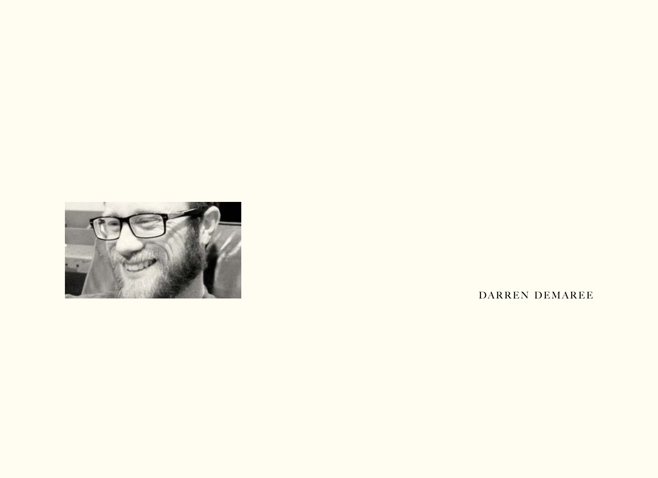

DARREN DEMAREE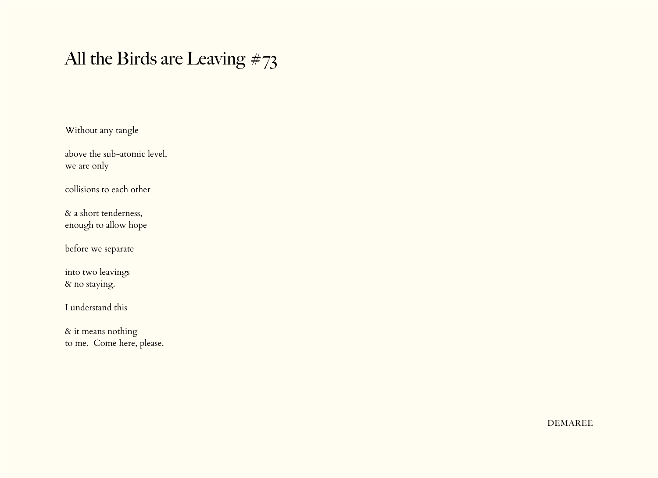## All the Birds are Leaving  $\#73$

Without any tangle

above the sub-atomic level, we are only

collisions to each other

& a short tenderness, enough to allow hope

before we separate

into two leavings & no staying.

I understand this

& it means nothing to me. Come here, please.

**DEMAREE**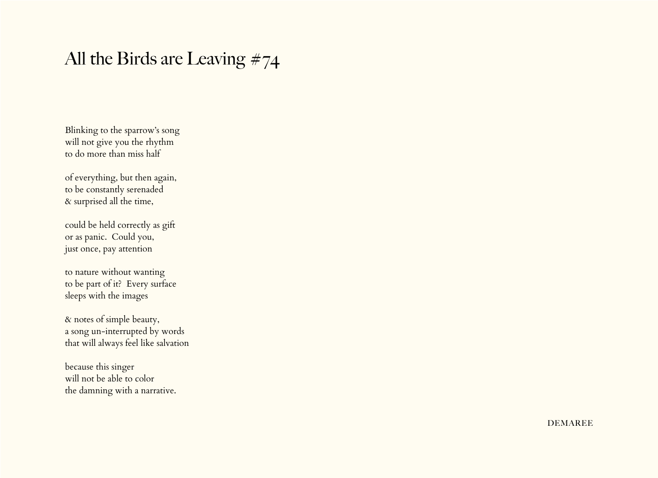## All the Birds are Leaving #74

Blinking to the sparrow's song will not give you the rhythm to do more than miss half

of everything, but then again, to be constantly serenaded & surprised all the time,

could be held correctly as gift or as panic. Could you, just once, pay attention

to nature without wanting to be part of it? Every surface sleeps with the images

& notes of simple beauty, a song un-interrupted by words that will always feel like salvation

because this singer will not be able to color the damning with a narrative.

**DEMAREE**